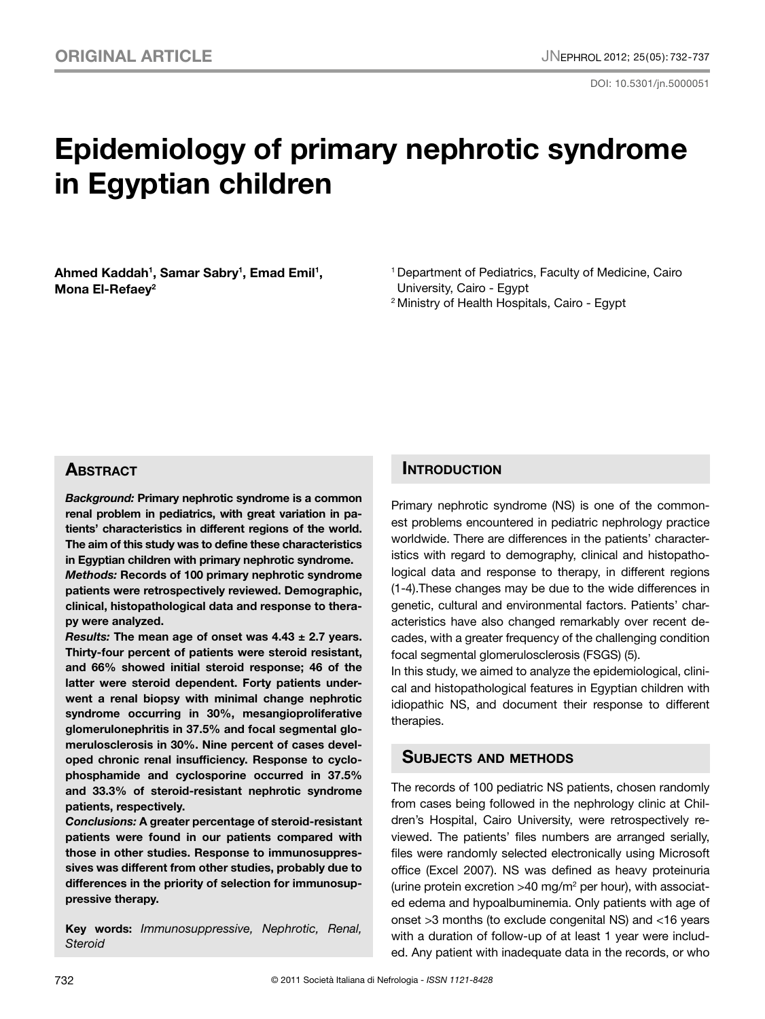# **Epidemiology of primary nephrotic syndrome in Egyptian children**

Ahmed Kaddah<sup>1</sup>, Samar Sabry<sup>1</sup>, Emad Emil<sup>1</sup>, **Mona El-Refaey2**

1 Department of Pediatrics, Faculty of Medicine, Cairo University, Cairo - Egypt

2 Ministry of Health Hospitals, Cairo - Egypt

# **ABSTRACT**

*Background:* **Primary nephrotic syndrome is a common renal problem in pediatrics, with great variation in patients' characteristics in different regions of the world. The aim of this study was to define these characteristics in Egyptian children with primary nephrotic syndrome.**

*Methods:* **Records of 100 primary nephrotic syndrome patients were retrospectively reviewed. Demographic, clinical, histopathological data and response to therapy were analyzed.**

*Results:* **The mean age of onset was 4.43 ± 2.7 years. Thirty-four percent of patients were steroid resistant, and 66% showed initial steroid response; 46 of the latter were steroid dependent. Forty patients underwent a renal biopsy with minimal change nephrotic syndrome occurring in 30%, mesangioproliferative glomerulonephritis in 37.5% and focal segmental glomerulosclerosis in 30%. Nine percent of cases developed chronic renal insufficiency. Response to cyclophosphamide and cyclosporine occurred in 37.5% and 33.3% of steroid-resistant nephrotic syndrome patients, respectively.**

*Conclusions:* **A greater percentage of steroid-resistant patients were found in our patients compared with those in other studies. Response to immunosuppressives was different from other studies, probably due to differences in the priority of selection for immunosuppressive therapy.**

**Key words:** *Immunosuppressive, Nephrotic, Renal, Steroid*

# **INTRODUCTION**

Primary nephrotic syndrome (NS) is one of the commonest problems encountered in pediatric nephrology practice worldwide. There are differences in the patients' characteristics with regard to demography, clinical and histopathological data and response to therapy, in different regions (1-4).These changes may be due to the wide differences in genetic, cultural and environmental factors. Patients' characteristics have also changed remarkably over recent decades, with a greater frequency of the challenging condition focal segmental glomerulosclerosis (FSGS) (5).

In this study, we aimed to analyze the epidemiological, clinical and histopathological features in Egyptian children with idiopathic NS, and document their response to different therapies.

## **Subjects and methods**

The records of 100 pediatric NS patients, chosen randomly from cases being followed in the nephrology clinic at Children's Hospital, Cairo University, were retrospectively reviewed. The patients' files numbers are arranged serially, files were randomly selected electronically using Microsoft office (Excel 2007). NS was defined as heavy proteinuria (urine protein excretion  $>40$  mg/m<sup>2</sup> per hour), with associated edema and hypoalbuminemia. Only patients with age of onset >3 months (to exclude congenital NS) and <16 years with a duration of follow-up of at least 1 year were included. Any patient with inadequate data in the records, or who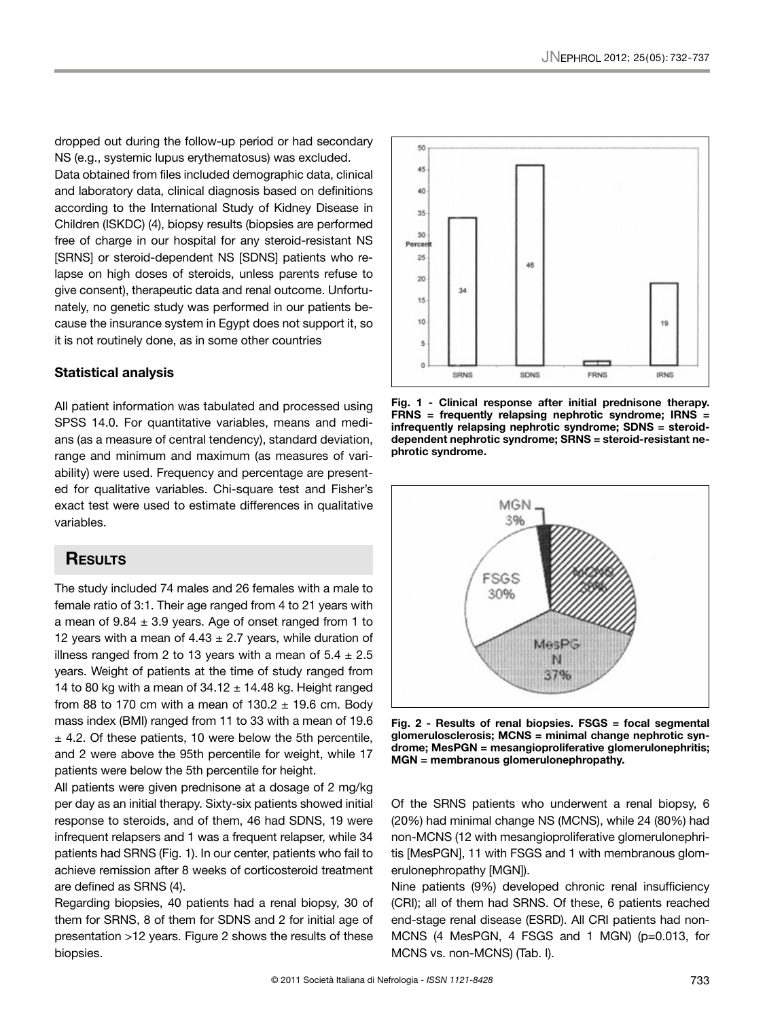dropped out during the follow-up period or had secondary NS (e.g., systemic lupus erythematosus) was excluded. Data obtained from files included demographic data, clinical and laboratory data, clinical diagnosis based on definitions according to the International Study of Kidney Disease in Children (ISKDC) (4), biopsy results (biopsies are performed free of charge in our hospital for any steroid-resistant NS [SRNS] or steroid-dependent NS [SDNS] patients who relapse on high doses of steroids, unless parents refuse to give consent), therapeutic data and renal outcome. Unfortunately, no genetic study was performed in our patients because the insurance system in Egypt does not support it, so it is not routinely done, as in some other countries

### **Statistical analysis**

All patient information was tabulated and processed using SPSS 14.0. For quantitative variables, means and medians (as a measure of central tendency), standard deviation, range and minimum and maximum (as measures of variability) were used. Frequency and percentage are presented for qualitative variables. Chi-square test and Fisher's exact test were used to estimate differences in qualitative variables.

# **Results**

The study included 74 males and 26 females with a male to female ratio of 3:1. Their age ranged from 4 to 21 years with a mean of  $9.84 \pm 3.9$  years. Age of onset ranged from 1 to 12 years with a mean of  $4.43 \pm 2.7$  years, while duration of illness ranged from 2 to 13 years with a mean of  $5.4 \pm 2.5$ years. Weight of patients at the time of study ranged from 14 to 80 kg with a mean of  $34.12 \pm 14.48$  kg. Height ranged from 88 to 170 cm with a mean of  $130.2 \pm 19.6$  cm. Body mass index (BMI) ranged from 11 to 33 with a mean of 19.6  $±$  4.2. Of these patients, 10 were below the 5th percentile, and 2 were above the 95th percentile for weight, while 17 patients were below the 5th percentile for height.

All patients were given prednisone at a dosage of 2 mg/kg per day as an initial therapy. Sixty-six patients showed initial response to steroids, and of them, 46 had SDNS, 19 were infrequent relapsers and 1 was a frequent relapser, while 34 patients had SRNS (Fig. 1). In our center, patients who fail to achieve remission after 8 weeks of corticosteroid treatment are defined as SRNS (4).

Regarding biopsies, 40 patients had a renal biopsy, 30 of them for SRNS, 8 of them for SDNS and 2 for initial age of presentation >12 years. Figure 2 shows the results of these biopsies.



**Fig. 1 - Clinical response after initial prednisone therapy. FRNS = frequently relapsing nephrotic syndrome; IRNS = infrequently relapsing nephrotic syndrome; SDNS = steroiddependent nephrotic syndrome; SRNS = steroid-resistant nephrotic syndrome.**



**Fig. 2 - Results of renal biopsies. FSGS = focal segmental glomerulosclerosis; MCNS = minimal change nephrotic syndrome; MesPGN = mesangioproliferative glomerulonephritis; MGN = membranous glomerulonephropathy.** 

Of the SRNS patients who underwent a renal biopsy, 6 (20%) had minimal change NS (MCNS), while 24 (80%) had non-MCNS (12 with mesangioproliferative glomerulonephritis [MesPGN], 11 with FSGS and 1 with membranous glomerulonephropathy [MGN]).

Nine patients (9%) developed chronic renal insufficiency (CRI); all of them had SRNS. Of these, 6 patients reached end-stage renal disease (ESRD). All CRI patients had non-MCNS (4 MesPGN, 4 FSGS and 1 MGN) (p=0.013, for MCNS vs. non-MCNS) (Tab. I).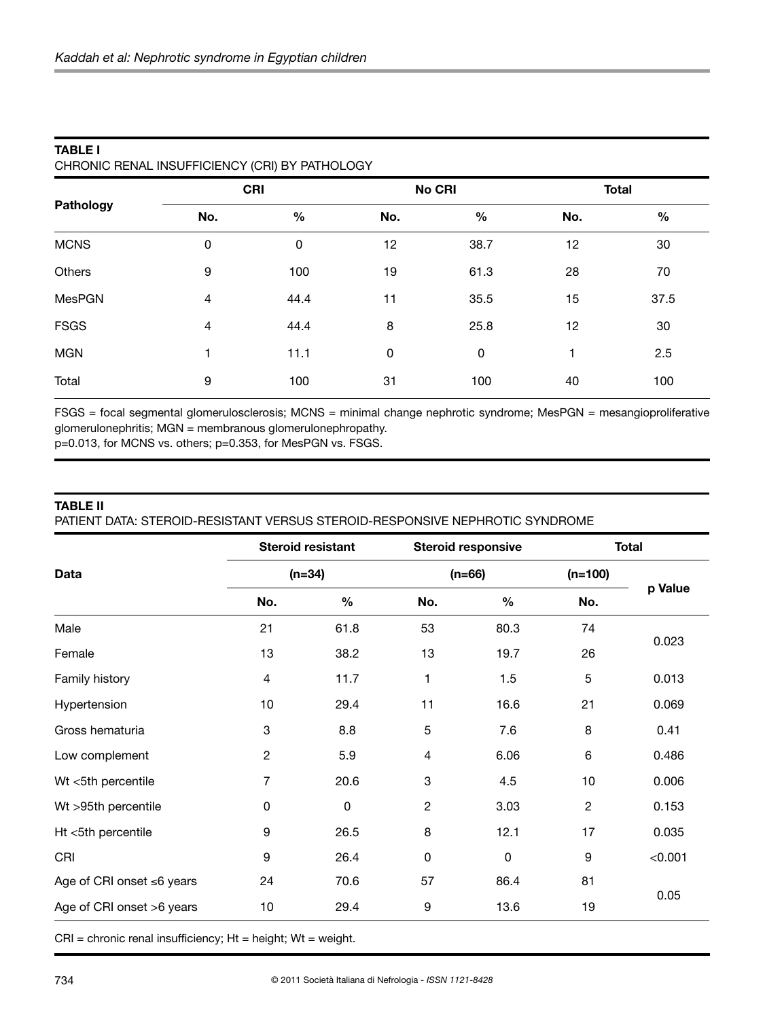| Pathology     | <b>CRI</b> |             |     | No CRI      | <b>Total</b> |               |
|---------------|------------|-------------|-----|-------------|--------------|---------------|
|               | No.        | $\%$        | No. | $\%$        | No.          | $\frac{0}{0}$ |
| <b>MCNS</b>   | $\pmb{0}$  | $\mathbf 0$ | 12  | 38.7        | 12           | 30            |
| Others        | 9          | 100         | 19  | 61.3        | 28           | 70            |
| <b>MesPGN</b> | 4          | 44.4        | 11  | 35.5        | 15           | 37.5          |
| <b>FSGS</b>   | 4          | 44.4        | 8   | 25.8        | 12           | 30            |
| <b>MGN</b>    | 1          | 11.1        | 0   | $\mathbf 0$ | ⊣            | 2.5           |
| Total         | 9          | 100         | 31  | 100         | 40           | 100           |

### **TABLE I** CHRONIC RENAL INSUFFICIENCY (CRI) BY PATHOLOGY

FSGS = focal segmental glomerulosclerosis; MCNS = minimal change nephrotic syndrome; MesPGN = mesangioproliferative glomerulonephritis; MGN = membranous glomerulonephropathy.

p=0.013, for MCNS vs. others; p=0.353, for MesPGN vs. FSGS.

## **TABLE II**

PATIENT DATA: STEROID-RESISTANT VERSUS STEROID-RESPONSIVE NEPHROTIC SYNDROME

|                           | <b>Steroid resistant</b>  |      | <b>Steroid responsive</b> |             | <b>Total</b>   |         |  |
|---------------------------|---------------------------|------|---------------------------|-------------|----------------|---------|--|
| Data                      | $(n=34)$                  |      | $(n=66)$                  |             | $(n=100)$      |         |  |
|                           | No.                       | $\%$ | No.                       | $\%$        | No.            | p Value |  |
| Male                      | 21                        | 61.8 | 53                        | 80.3        | 74             | 0.023   |  |
| Female                    | 13                        | 38.2 | 13                        | 19.7        | 26             |         |  |
| Family history            | 4                         | 11.7 | 1                         | 1.5         | 5              | 0.013   |  |
| Hypertension              | 10                        | 29.4 | 11                        | 16.6        | 21             | 0.069   |  |
| Gross hematuria           | $\ensuremath{\mathsf{3}}$ | 8.8  | 5                         | 7.6         | 8              | 0.41    |  |
| Low complement            | $\overline{c}$            | 5.9  | 4                         | 6.06        | 6              | 0.486   |  |
| Wt <5th percentile        | $\overline{7}$            | 20.6 | 3                         | 4.5         | 10             | 0.006   |  |
| Wt >95th percentile       | $\mathbf 0$               | 0    | $\overline{2}$            | 3.03        | $\overline{2}$ | 0.153   |  |
| Ht <5th percentile        | 9                         | 26.5 | 8                         | 12.1        | 17             | 0.035   |  |
| CRI                       | 9                         | 26.4 | $\mathbf 0$               | $\mathbf 0$ | 9              | < 0.001 |  |
| Age of CRI onset ≤6 years | 24                        | 70.6 | 57                        | 86.4        | 81             | 0.05    |  |
| Age of CRI onset >6 years | 10                        | 29.4 | 9                         | 13.6        | 19             |         |  |

 $CRI =$  chronic renal insufficiency;  $Ht =$  height;  $Wt =$  weight.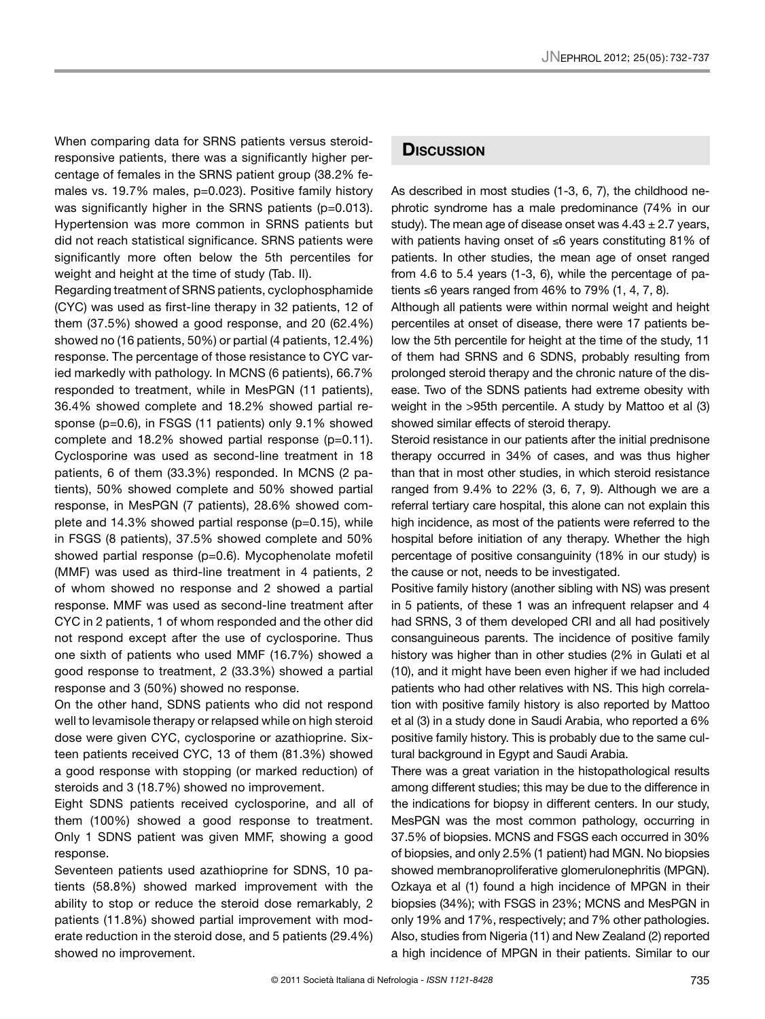When comparing data for SRNS patients versus steroidresponsive patients, there was a significantly higher percentage of females in the SRNS patient group (38.2% females vs. 19.7% males, p=0.023). Positive family history was significantly higher in the SRNS patients (p=0.013). Hypertension was more common in SRNS patients but did not reach statistical significance. SRNS patients were significantly more often below the 5th percentiles for weight and height at the time of study (Tab. II).

Regarding treatment of SRNS patients, cyclophosphamide (CYC) was used as first-line therapy in 32 patients, 12 of them (37.5%) showed a good response, and 20 (62.4%) showed no (16 patients, 50%) or partial (4 patients, 12.4%) response. The percentage of those resistance to CYC varied markedly with pathology. In MCNS (6 patients), 66.7% responded to treatment, while in MesPGN (11 patients), 36.4% showed complete and 18.2% showed partial response (p=0.6), in FSGS (11 patients) only 9.1% showed complete and 18.2% showed partial response (p=0.11). Cyclosporine was used as second-line treatment in 18 patients, 6 of them (33.3%) responded. In MCNS (2 patients), 50% showed complete and 50% showed partial response, in MesPGN (7 patients), 28.6% showed complete and 14.3% showed partial response (p=0.15), while in FSGS (8 patients), 37.5% showed complete and 50% showed partial response (p=0.6). Mycophenolate mofetil (MMF) was used as third-line treatment in 4 patients, 2 of whom showed no response and 2 showed a partial response. MMF was used as second-line treatment after CYC in 2 patients, 1 of whom responded and the other did not respond except after the use of cyclosporine. Thus one sixth of patients who used MMF (16.7%) showed a good response to treatment, 2 (33.3%) showed a partial response and 3 (50%) showed no response.

On the other hand, SDNS patients who did not respond well to levamisole therapy or relapsed while on high steroid dose were given CYC, cyclosporine or azathioprine. Sixteen patients received CYC, 13 of them (81.3%) showed a good response with stopping (or marked reduction) of steroids and 3 (18.7%) showed no improvement.

Eight SDNS patients received cyclosporine, and all of them (100%) showed a good response to treatment. Only 1 SDNS patient was given MMF, showing a good response.

Seventeen patients used azathioprine for SDNS, 10 patients (58.8%) showed marked improvement with the ability to stop or reduce the steroid dose remarkably, 2 patients (11.8%) showed partial improvement with moderate reduction in the steroid dose, and 5 patients (29.4%) showed no improvement.

# **Discussion**

As described in most studies (1-3, 6, 7), the childhood nephrotic syndrome has a male predominance (74% in our study). The mean age of disease onset was  $4.43 \pm 2.7$  years, with patients having onset of ≤6 years constituting 81% of patients. In other studies, the mean age of onset ranged from 4.6 to 5.4 years (1-3, 6), while the percentage of patients  $\leq 6$  years ranged from 46% to 79% (1, 4, 7, 8).

Although all patients were within normal weight and height percentiles at onset of disease, there were 17 patients below the 5th percentile for height at the time of the study, 11 of them had SRNS and 6 SDNS, probably resulting from prolonged steroid therapy and the chronic nature of the disease. Two of the SDNS patients had extreme obesity with weight in the >95th percentile. A study by Mattoo et al (3) showed similar effects of steroid therapy.

Steroid resistance in our patients after the initial prednisone therapy occurred in 34% of cases, and was thus higher than that in most other studies, in which steroid resistance ranged from 9.4% to 22% (3, 6, 7, 9). Although we are a referral tertiary care hospital, this alone can not explain this high incidence, as most of the patients were referred to the hospital before initiation of any therapy. Whether the high percentage of positive consanguinity (18% in our study) is the cause or not, needs to be investigated.

Positive family history (another sibling with NS) was present in 5 patients, of these 1 was an infrequent relapser and 4 had SRNS, 3 of them developed CRI and all had positively consanguineous parents. The incidence of positive family history was higher than in other studies (2% in Gulati et al (10), and it might have been even higher if we had included patients who had other relatives with NS. This high correlation with positive family history is also reported by Mattoo et al (3) in a study done in Saudi Arabia, who reported a 6% positive family history. This is probably due to the same cultural background in Egypt and Saudi Arabia.

There was a great variation in the histopathological results among different studies; this may be due to the difference in the indications for biopsy in different centers. In our study, MesPGN was the most common pathology, occurring in 37.5% of biopsies. MCNS and FSGS each occurred in 30% of biopsies, and only 2.5% (1 patient) had MGN. No biopsies showed membranoproliferative glomerulonephritis (MPGN). Ozkaya et al (1) found a high incidence of MPGN in their biopsies (34%); with FSGS in 23%; MCNS and MesPGN in only 19% and 17%, respectively; and 7% other pathologies. Also, studies from Nigeria (11) and New Zealand (2) reported a high incidence of MPGN in their patients. Similar to our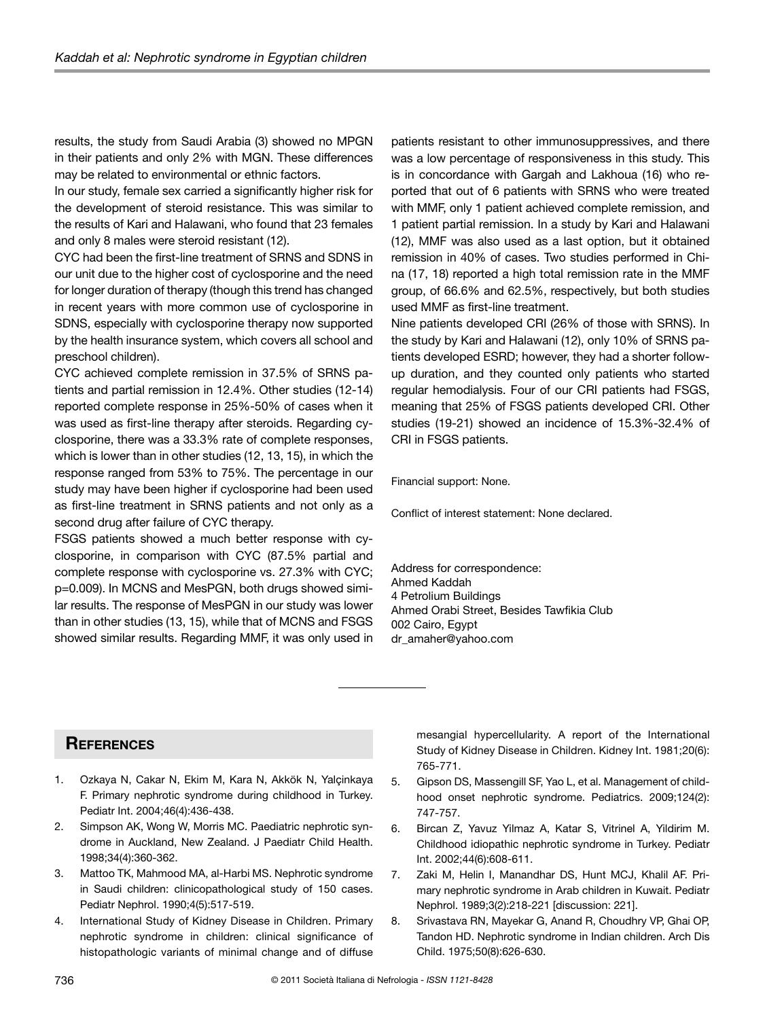results, the study from Saudi Arabia (3) showed no MPGN in their patients and only 2% with MGN. These differences may be related to environmental or ethnic factors.

In our study, female sex carried a significantly higher risk for the development of steroid resistance. This was similar to the results of Kari and Halawani, who found that 23 females and only 8 males were steroid resistant (12).

CYC had been the first-line treatment of SRNS and SDNS in our unit due to the higher cost of cyclosporine and the need for longer duration of therapy (though this trend has changed in recent years with more common use of cyclosporine in SDNS, especially with cyclosporine therapy now supported by the health insurance system, which covers all school and preschool children).

CYC achieved complete remission in 37.5% of SRNS patients and partial remission in 12.4%. Other studies (12-14) reported complete response in 25%-50% of cases when it was used as first-line therapy after steroids. Regarding cyclosporine, there was a 33.3% rate of complete responses, which is lower than in other studies (12, 13, 15), in which the response ranged from 53% to 75%. The percentage in our study may have been higher if cyclosporine had been used as first-line treatment in SRNS patients and not only as a second drug after failure of CYC therapy.

FSGS patients showed a much better response with cyclosporine, in comparison with CYC (87.5% partial and complete response with cyclosporine vs. 27.3% with CYC; p=0.009). In MCNS and MesPGN, both drugs showed similar results. The response of MesPGN in our study was lower than in other studies (13, 15), while that of MCNS and FSGS showed similar results. Regarding MMF, it was only used in

patients resistant to other immunosuppressives, and there was a low percentage of responsiveness in this study. This is in concordance with Gargah and Lakhoua (16) who reported that out of 6 patients with SRNS who were treated with MMF, only 1 patient achieved complete remission, and 1 patient partial remission. In a study by Kari and Halawani (12), MMF was also used as a last option, but it obtained remission in 40% of cases. Two studies performed in China (17, 18) reported a high total remission rate in the MMF group, of 66.6% and 62.5%, respectively, but both studies used MMF as first-line treatment.

Nine patients developed CRI (26% of those with SRNS). In the study by Kari and Halawani (12), only 10% of SRNS patients developed ESRD; however, they had a shorter followup duration, and they counted only patients who started regular hemodialysis. Four of our CRI patients had FSGS, meaning that 25% of FSGS patients developed CRI. Other studies (19-21) showed an incidence of 15.3%-32.4% of CRI in FSGS patients.

Financial support: None.

Conflict of interest statement: None declared.

Address for correspondence: Ahmed Kaddah 4 Petrolium Buildings Ahmed Orabi Street, Besides Tawfikia Club 002 Cairo, Egypt dr\_amaher@yahoo.com

# **References**

- 1. Ozkaya N, Cakar N, Ekim M, Kara N, Akkök N, Yalçinkaya F. Primary nephrotic syndrome during childhood in Turkey. Pediatr Int. 2004;46(4):436-438.
- 2. Simpson AK, Wong W, Morris MC. Paediatric nephrotic syndrome in Auckland, New Zealand. J Paediatr Child Health. 1998;34(4):360-362.
- 3. Mattoo TK, Mahmood MA, al-Harbi MS. Nephrotic syndrome in Saudi children: clinicopathological study of 150 cases. Pediatr Nephrol. 1990;4(5):517-519.
- 4. International Study of Kidney Disease in Children. Primary nephrotic syndrome in children: clinical significance of histopathologic variants of minimal change and of diffuse

mesangial hypercellularity. A report of the International Study of Kidney Disease in Children. Kidney Int. 1981;20(6): 765-771.

- 5. Gipson DS, Massengill SF, Yao L, et al. Management of childhood onset nephrotic syndrome. Pediatrics. 2009;124(2): 747-757.
- 6. Bircan Z, Yavuz Yilmaz A, Katar S, Vitrinel A, Yildirim M. Childhood idiopathic nephrotic syndrome in Turkey. Pediatr Int. 2002;44(6):608-611.
- 7. Zaki M, Helin I, Manandhar DS, Hunt MCJ, Khalil AF. Primary nephrotic syndrome in Arab children in Kuwait. Pediatr Nephrol. 1989;3(2):218-221 [discussion: 221].
- 8. Srivastava RN, Mayekar G, Anand R, Choudhry VP, Ghai OP, Tandon HD. Nephrotic syndrome in Indian children. Arch Dis Child. 1975;50(8):626-630.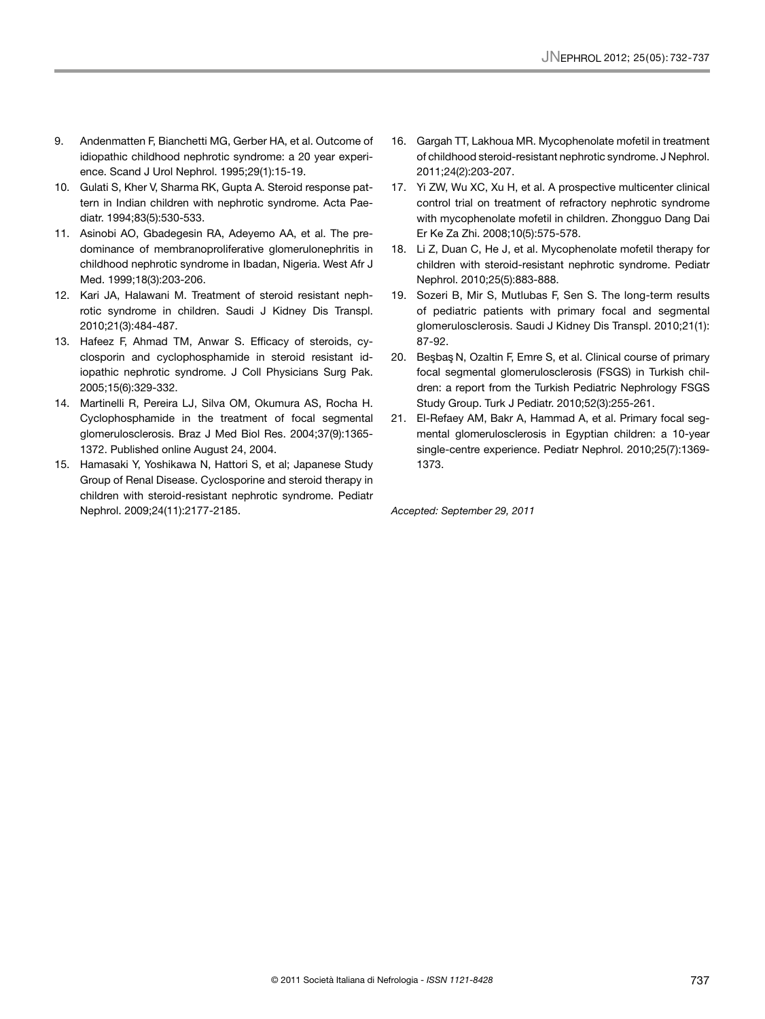- 9. Andenmatten F, Bianchetti MG, Gerber HA, et al. Outcome of idiopathic childhood nephrotic syndrome: a 20 year experience. Scand J Urol Nephrol. 1995;29(1):15-19.
- 10. Gulati S, Kher V, Sharma RK, Gupta A. Steroid response pattern in Indian children with nephrotic syndrome. Acta Paediatr. 1994;83(5):530-533.
- 11. Asinobi AO, Gbadegesin RA, Adeyemo AA, et al. The predominance of membranoproliferative glomerulonephritis in childhood nephrotic syndrome in Ibadan, Nigeria. West Afr J Med. 1999;18(3):203-206.
- 12. Kari JA, Halawani M. Treatment of steroid resistant nephrotic syndrome in children. Saudi J Kidney Dis Transpl. 2010;21(3):484-487.
- 13. Hafeez F, Ahmad TM, Anwar S. Efficacy of steroids, cyclosporin and cyclophosphamide in steroid resistant idiopathic nephrotic syndrome. J Coll Physicians Surg Pak. 2005;15(6):329-332.
- 14. Martinelli R, Pereira LJ, Silva OM, Okumura AS, Rocha H. Cyclophosphamide in the treatment of focal segmental glomerulosclerosis. Braz J Med Biol Res. 2004;37(9):1365- 1372. Published online August 24, 2004.
- 15. Hamasaki Y, Yoshikawa N, Hattori S, et al; Japanese Study Group of Renal Disease. Cyclosporine and steroid therapy in children with steroid-resistant nephrotic syndrome. Pediatr Nephrol. 2009;24(11):2177-2185.
- 16. Gargah TT, Lakhoua MR. Mycophenolate mofetil in treatment of childhood steroid-resistant nephrotic syndrome. J Nephrol. 2011;24(2):203-207.
- 17. Yi ZW, Wu XC, Xu H, et al. A prospective multicenter clinical control trial on treatment of refractory nephrotic syndrome with mycophenolate mofetil in children. Zhongguo Dang Dai Er Ke Za Zhi. 2008;10(5):575-578.
- 18. Li Z, Duan C, He J, et al. Mycophenolate mofetil therapy for children with steroid-resistant nephrotic syndrome. Pediatr Nephrol. 2010;25(5):883-888.
- 19. Sozeri B, Mir S, Mutlubas F, Sen S. The long-term results of pediatric patients with primary focal and segmental glomerulosclerosis. Saudi J Kidney Dis Transpl. 2010;21(1): 87-92.
- 20. Besbas N, Ozaltin F, Emre S, et al. Clinical course of primary focal segmental glomerulosclerosis (FSGS) in Turkish children: a report from the Turkish Pediatric Nephrology FSGS Study Group. Turk J Pediatr. 2010;52(3):255-261.
- 21. El-Refaey AM, Bakr A, Hammad A, et al. Primary focal segmental glomerulosclerosis in Egyptian children: a 10-year single-centre experience. Pediatr Nephrol. 2010;25(7):1369- 1373.

*Accepted: September 29, 2011*